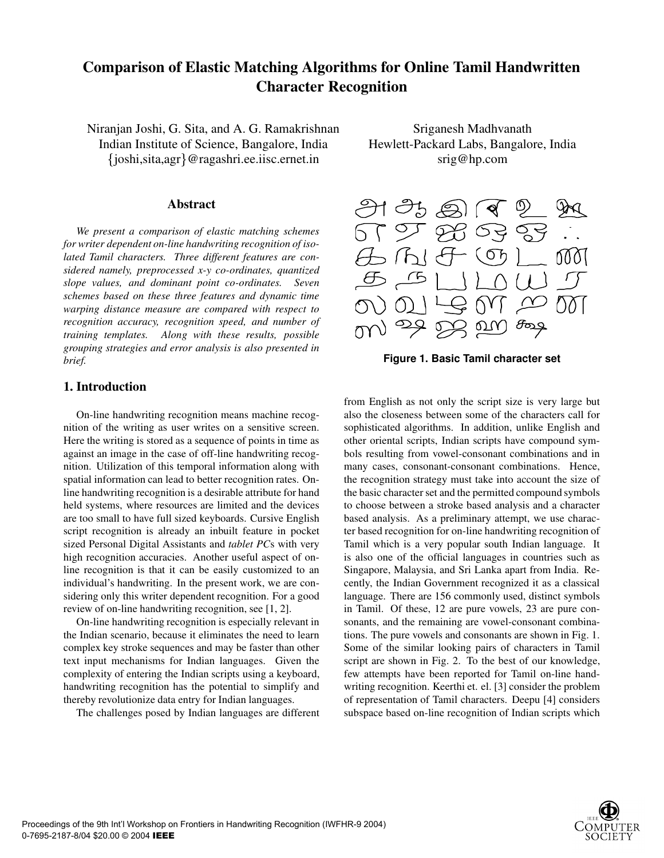# **Comparison of Elastic Matching Algorithms for Online Tamil Handwritten Character Recognition**

Niranjan Joshi, G. Sita, and A. G. Ramakrishnan Indian Institute of Science, Bangalore, India joshi,sita,agr @ragashri.ee.iisc.ernet.in

# **Abstract**

*We present a comparison of elastic matching schemes for writer dependent on-line handwriting recognition of isolated Tamil characters. Three different features are considered namely, preprocessed x-y co-ordinates, quantized slope values, and dominant point co-ordinates. Seven schemes based on these three features and dynamic time warping distance measure are compared with respect to recognition accuracy, recognition speed, and number of training templates. Along with these results, possible grouping strategies and error analysis is also presented in brief.*

# **1. Introduction**

On-line handwriting recognition means machine recognition of the writing as user writes on a sensitive screen. Here the writing is stored as a sequence of points in time as against an image in the case of off-line handwriting recognition. Utilization of this temporal information along with spatial information can lead to better recognition rates. Online handwriting recognition is a desirable attribute for hand held systems, where resources are limited and the devices are too small to have full sized keyboards. Cursive English script recognition is already an inbuilt feature in pocket sized Personal Digital Assistants and *tablet PC*s with very high recognition accuracies. Another useful aspect of online recognition is that it can be easily customized to an individual's handwriting. In the present work, we are considering only this writer dependent recognition. For a good review of on-line handwriting recognition, see [1, 2].

On-line handwriting recognition is especially relevant in the Indian scenario, because it eliminates the need to learn complex key stroke sequences and may be faster than other text input mechanisms for Indian languages. Given the complexity of entering the Indian scripts using a keyboard, handwriting recognition has the potential to simplify and thereby revolutionize data entry for Indian languages.

The challenges posed by Indian languages are different

Sriganesh Madhvanath Hewlett-Packard Labs, Bangalore, India srig@hp.com



**Figure 1. Basic Tamil character set**

from English as not only the script size is very large but also the closeness between some of the characters call for sophisticated algorithms. In addition, unlike English and other oriental scripts, Indian scripts have compound symbols resulting from vowel-consonant combinations and in many cases, consonant-consonant combinations. Hence, the recognition strategy must take into account the size of the basic character set and the permitted compound symbols to choose between a stroke based analysis and a character based analysis. As a preliminary attempt, we use character based recognition for on-line handwriting recognition of Tamil which is a very popular south Indian language. It is also one of the official languages in countries such as Singapore, Malaysia, and Sri Lanka apart from India. Recently, the Indian Government recognized it as a classical language. There are 156 commonly used, distinct symbols in Tamil. Of these, 12 are pure vowels, 23 are pure consonants, and the remaining are vowel-consonant combinations. The pure vowels and consonants are shown in Fig. 1. Some of the similar looking pairs of characters in Tamil script are shown in Fig. 2. To the best of our knowledge, few attempts have been reported for Tamil on-line handwriting recognition. Keerthi et. el. [3] consider the problem of representation of Tamil characters. Deepu [4] considers subspace based on-line recognition of Indian scripts which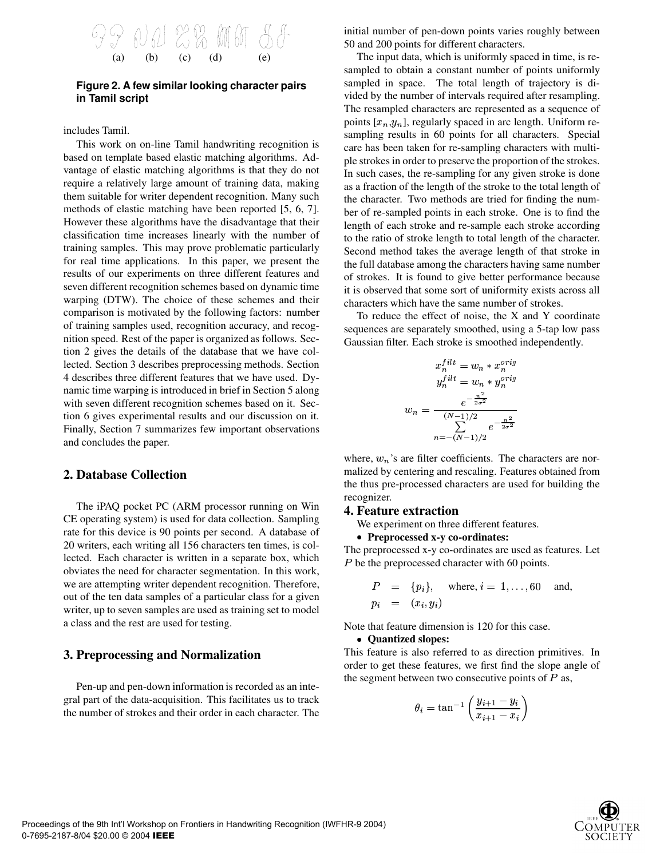$99\ \mathrm{AU} \otimes \mathrm{W} \otimes \mathrm{W} \otimes \mathrm{V}$ (a) (b) (c) (d) (e)

### **Figure 2. A few similar looking character pairs in Tamil script**

includes Tamil.

This work on on-line Tamil handwriting recognition is based on template based elastic matching algorithms. Advantage of elastic matching algorithms is that they do not require a relatively large amount of training data, making them suitable for writer dependent recognition. Many such methods of elastic matching have been reported [5, 6, 7]. However these algorithms have the disadvantage that their classification time increases linearly with the number of training samples. This may prove problematic particularly for real time applications. In this paper, we present the results of our experiments on three different features and seven different recognition schemes based on dynamic time warping (DTW). The choice of these schemes and their comparison is motivated by the following factors: number of training samples used, recognition accuracy, and recognition speed. Rest of the paper is organized as follows. Section 2 gives the details of the database that we have collected. Section 3 describes preprocessing methods. Section 4 describes three different features that we have used. Dynamic time warping is introduced in brief in Section 5 along with seven different recognition schemes based on it. Section 6 gives experimental results and our discussion on it. Finally, Section 7 summarizes few important observations and concludes the paper.

#### **2. Database Collection**

The iPAQ pocket PC (ARM processor running on Win CE operating system) is used for data collection. Sampling rate for this device is 90 points per second. A database of 20 writers, each writing all 156 characters ten times, is collected. Each character is written in a separate box, which obviates the need for character segmentation. In this work, we are attempting writer dependent recognition. Therefore, out of the ten data samples of a particular class for a given writer, up to seven samples are used as training set to model a class and the rest are used for testing.

# **3. Preprocessing and Normalization**

Pen-up and pen-down information is recorded as an integral part of the data-acquisition. This facilitates us to track the number of strokes and their order in each character. The

initial number of pen-down points varies roughly between 50 and 200 points for different characters.

The input data, which is uniformly spaced in time, is resampled to obtain a constant number of points uniformly sampled in space. The total length of trajectory is divided by the number of intervals required after resampling. The resampled characters are represented as a sequence of points  $[x_n, y_n]$ , regularly spaced in arc length. Uniform resampling results in 60 points for all characters. Special care has been taken for re-sampling characters with multiple strokes in order to preserve the proportion of the strokes. In such cases, the re-sampling for any given stroke is done as a fraction of the length of the stroke to the total length of the character. Two methods are tried for finding the number of re-sampled points in each stroke. One is to find the length of each stroke and re-sample each stroke according to the ratio of stroke length to total length of the character. Second method takes the average length of that stroke in the full database among the characters having same number of strokes. It is found to give better performance because it is observed that some sort of uniformity exists across all characters which have the same number of strokes.

To reduce the effect of noise, the X and Y coordinate sequences are separately smoothed, using a 5-tap low pass Gaussian filter. Each stroke is smoothed independently.

$$
x_n^{filt} = w_n * x_n^{orig}
$$
  
\n
$$
y_n^{filt} = w_n * y_n^{orig}
$$
  
\n
$$
w_n = \frac{e^{-\frac{n^2}{2\sigma^2}}}{(N-1)/2} e^{-\frac{n^2}{2\sigma^2}}
$$
  
\n
$$
n = -(N-1)/2
$$

where,  $w_n$ 's are filter coefficients. The characters are normalized by centering and rescaling. Features obtained from the thus pre-processed characters are used for building the recognizer.

#### **4. Feature extraction**

We experiment on three different features.

#### . **Preprocessed x-y co-ordinates:**

The preprocessed x-y co-ordinates are used as features. Let P be the preprocessed character with 60 points.

$$
P = \{p_i\}
$$
, where,  $i = 1, ..., 60$  and,  
 $p_i = (x_i, y_i)$ 

Note that feature dimension is 120 for this case.

#### . **Quantized slopes:**

This feature is also referred to as direction primitives. In order to get these features, we first find the slope angle of the segment between two consecutive points of  $P$  as,

$$
\theta_i = \tan^{-1} \left( \frac{y_{i+1} - y_i}{x_{i+1} - x_i} \right)
$$

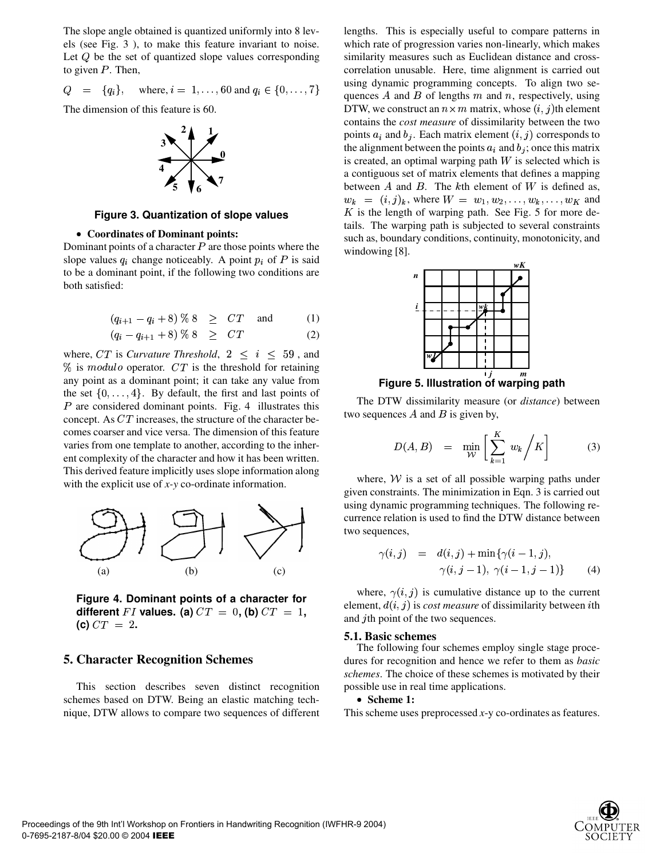The slope angle obtained is quantized uniformly into 8 levels (see Fig. 3 ), to make this feature invariant to noise. Let  $Q$  be the set of quantized slope values corresponding to given  $P$ . Then,

$$
Q = \{q_i\}, \text{ where, } i = 1, \dots, 60 \text{ and } q_i \in \{0, \dots, 7\}
$$

The dimension of this feature is 60.



#### **Figure 3. Quantization of slope values**

#### . **Coordinates of Dominant points:**

Dominant points of a character  $P$  are those points where the slope values  $q_i$  change noticeably. A point  $p_i$  of P is said to be a dominant point, if the following two conditions are both satisfied:

$$
(q_{i+1} - q_i + 8) \% 8 \geq CT
$$
 and (1)

$$
(q_i - q_{i+1} + 8) \% 8 \geq CT \tag{2}
$$

where,  $CT$  is *Curvature Threshold*,  $2 \leq i \leq 59$ , and any point as a dominant point; it can take any value from is modulo operator.  $CT$  is the threshold for retaining the set  $\{0, \ldots, 4\}$ . By default, the first and last points of P are considered dominant points. Fig. 4 illustrates this concept. As  $CT$  increases, the structure of the character becomes coarser and vice versa. The dimension of this feature varies from one template to another, according to the inherent complexity of the character and how it has been written. This derived feature implicitly uses slope information along with the explicit use of *x-y* co-ordinate information.



**Figure 4. Dominant points of a character for different**  $FI$  **values.** (a)  $CT = 0$ , (b)  $CT = 1$ , **(c)**  $CT = 2$ .

# **5. Character Recognition Schemes**

This section describes seven distinct recognition schemes based on DTW. Being an elastic matching technique, DTW allows to compare two sequences of different

 $P_i \subseteq \{0, \ldots, T\}$  quences A and B of lengths m and n, respectively, using lengths. This is especially useful to compare patterns in which rate of progression varies non-linearly, which makes similarity measures such as Euclidean distance and crosscorrelation unusable. Here, time alignment is carried out using dynamic programming concepts. To align two se-DTW, we construct an  $n \times m$  matrix, whose  $(i, j)$ th element contains the *cost measure* of dissimilarity between the two points  $a_i$  and  $b_j$ . Each matrix element  $(i, j)$  corresponds to the alignment between the points  $a_i$  and  $b_j$ ; once this matrix is created, an optimal warping path  $W$  is selected which is a contiguous set of matrix elements that defines a mapping between  $A$  and  $B$ . The  $k$ th element of  $W$  is defined as,  $w_k = (i, j)_k$ , where  $W = w_1, w_2, \dots, w_k, \dots, w_K$  and  $K$  is the length of warping path. See Fig. 5 for more details. The warping path is subjected to several constraints such as, boundary conditions, continuity, monotonicity, and windowing [8].



*j m* **Figure 5. Illustration of warping path**

The DTW dissimilarity measure (or *distance*) between two sequences  $A$  and  $B$  is given by,

$$
D(A, B) = \min_{\mathcal{W}} \left[ \sum_{k=1}^{K} w_k / K \right] \tag{3}
$$

where,  $W$  is a set of all possible warping paths under given constraints. The minimization in Eqn. 3 is carried out using dynamic programming techniques. The following recurrence relation is used to find the DTW distance between two sequences,

$$
\gamma(i,j) = d(i,j) + \min{\gamma(i-1,j),\n\gamma(i,j-1), \gamma(i-1,j-1)}
$$
\n(4)

where,  $\gamma(i, j)$  is cumulative distance up to the current element,  $d(i, j)$  is *cost measure* of dissimilarity between *i*th and  $j$ th point of the two sequences.

#### **5.1. Basic schemes**

The following four schemes employ single stage procedures for recognition and hence we refer to them as *basic schemes*. The choice of these schemes is motivated by their possible use in real time applications.

#### . **Scheme 1:**

This scheme uses preprocessed *x*-y co-ordinates as features.

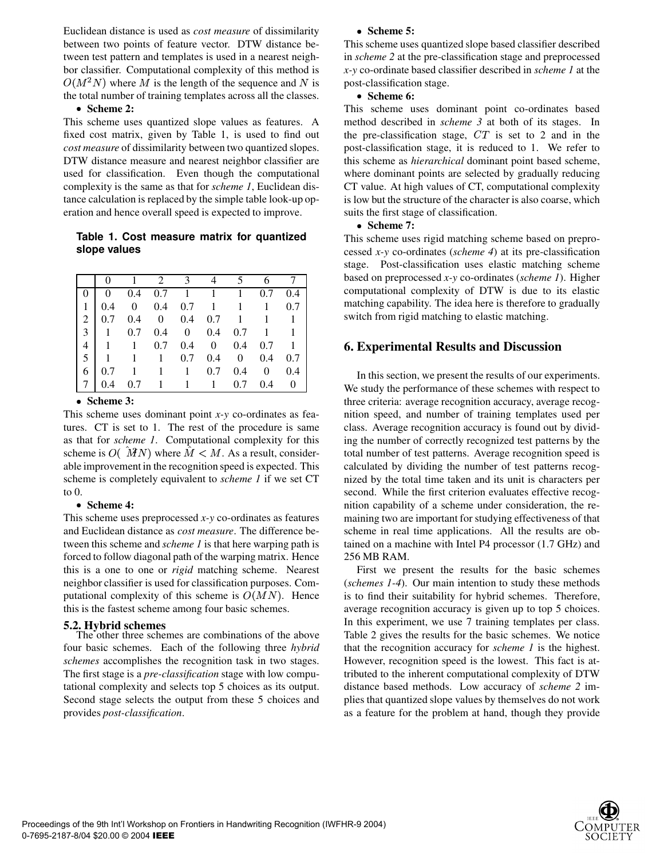Euclidean distance is used as *cost measure* of dissimilarity between two points of feature vector. DTW distance between test pattern and templates is used in a nearest neighbor classifier. Computational complexity of this method is  $O(M^2N)$  where M is the length of the sequence and N is post-classi  $\sim$  set of  $\sim$  set of  $\sim$  set of  $\sim$ the total number of training templates across all the classes.

### . **Scheme 2:**

This scheme uses quantized slope values as features. A fixed cost matrix, given by Table 1, is used to find out *cost measure* of dissimilarity between two quantized slopes. DTW distance measure and nearest neighbor classifier are used for classification. Even though the computational complexity is the same as that for *scheme 1*, Euclidean distance calculation is replaced by the simple table look-up operation and hence overall speed is expected to improve.

# **Table 1. Cost measure matrix for quantized slope values**

|                | $\overline{0}$ | $1 \t2 \t3 \t4 \t5$                                             |  | 6                                                                           |     |
|----------------|----------------|-----------------------------------------------------------------|--|-----------------------------------------------------------------------------|-----|
|                |                | $0 \begin{array}{cccccc} 0 & 0.4 & 0.7 & 1 & 1 & 1 \end{array}$ |  | 0.7                                                                         | 0.4 |
| 1 <sup>1</sup> |                |                                                                 |  | 0.4 0 0.4 0.7 1 1 1 0.7                                                     |     |
|                |                |                                                                 |  | $2 \mid 0.7 \quad 0.4 \quad 0 \quad 0.4 \quad 0.7 \quad 1 \quad 1 \quad 1$  |     |
|                |                |                                                                 |  | $3 \begin{bmatrix} 1 & 0.7 & 0.4 & 0 & 0.4 & 0.7 & 1 & 1 \end{bmatrix}$     |     |
|                |                |                                                                 |  | $4 \mid 1 \quad 1 \quad 0.7 \quad 0.4 \quad 0 \quad 0.4 \quad 0.7 \quad 1$  |     |
|                |                |                                                                 |  | $5 \begin{array}{cccccc} 1 & 1 & 1 & 0.7 & 0.4 & 0 & 0.4 & 0.7 \end{array}$ |     |
| 6              |                |                                                                 |  | 0.7 1 1 1 0.7 0.4 0 0.4                                                     |     |
|                |                |                                                                 |  |                                                                             |     |

# . **Scheme 3:**

This scheme uses dominant point *x-y* co-ordinates as features. CT is set to 1. The rest of the procedure is same as that for *scheme 1*. Computational complexity for this scheme is  $O(N^2N)$  where  $\tilde{M} < M$ . As a result, considerable improvement in the recognition speed is expected. This scheme is completely equivalent to *scheme 1* if we set CT to  $0$ .

# . **Scheme 4:**

This scheme uses preprocessed *x-y* co-ordinates as features and Euclidean distance as *cost measure*. The difference between this scheme and *scheme 1* is that here warping path is forced to follow diagonal path of the warping matrix. Hence this is a one to one or *rigid* matching scheme. Nearest neighbor classifier is used for classification purposes. Computational complexity of this scheme is  $O(MN)$ . Hence is to  $N$ ). Hence is t this is the fastest scheme among four basic schemes.

**5.2. Hybrid schemes**<br>The other three schemes are combinations of the above four basic schemes. Each of the following three *hybrid schemes* accomplishes the recognition task in two stages. The first stage is a *pre-classification* stage with low computational complexity and selects top 5 choices as its output. Second stage selects the output from these 5 choices and provides *post-classification*.

#### . **Scheme 5:**

This scheme uses quantized slope based classifier described in *scheme 2* at the pre-classification stage and preprocessed *x-y* co-ordinate based classifier described in *scheme 1* at the post-classification stage.

### . **Scheme 6:**

This scheme uses dominant point co-ordinates based method described in *scheme 3* at both of its stages. In the pre-classification stage,  $CT$  is set to 2 and in the post-classification stage, it is reduced to 1. We refer to this scheme as *hierarchical* dominant point based scheme, where dominant points are selected by gradually reducing CT value. At high values of CT, computational complexity is low but the structure of the character is also coarse, which suits the first stage of classification.

# . **Scheme 7:**

This scheme uses rigid matching scheme based on preprocessed *x-y* co-ordinates (*scheme 4*) at its pre-classification stage. Post-classification uses elastic matching scheme based on preprocessed *x-y* co-ordinates (*scheme 1*). Higher computational complexity of DTW is due to its elastic matching capability. The idea here is therefore to gradually switch from rigid matching to elastic matching.

# **6. Experimental Results and Discussion**

In this section, we present the results of our experiments. We study the performance of these schemes with respect to three criteria: average recognition accuracy, average recognition speed, and number of training templates used per class. Average recognition accuracy is found out by dividing the number of correctly recognized test patterns by the total number of test patterns. Average recognition speed is calculated by dividing the number of test patterns recognized by the total time taken and its unit is characters per second. While the first criterion evaluates effective recognition capability of a scheme under consideration, the remaining two are important for studying effectiveness of that scheme in real time applications. All the results are obtained on a machine with Intel P4 processor (1.7 GHz) and 256 MB RAM.

First we present the results for the basic schemes (*schemes 1-4*). Our main intention to study these methods is to find their suitability for hybrid schemes. Therefore, average recognition accuracy is given up to top 5 choices. In this experiment, we use 7 training templates per class. Table 2 gives the results for the basic schemes. We notice that the recognition accuracy for *scheme 1* is the highest. However, recognition speed is the lowest. This fact is attributed to the inherent computational complexity of DTW distance based methods. Low accuracy of *scheme 2* implies that quantized slope values by themselves do not work as a feature for the problem at hand, though they provide

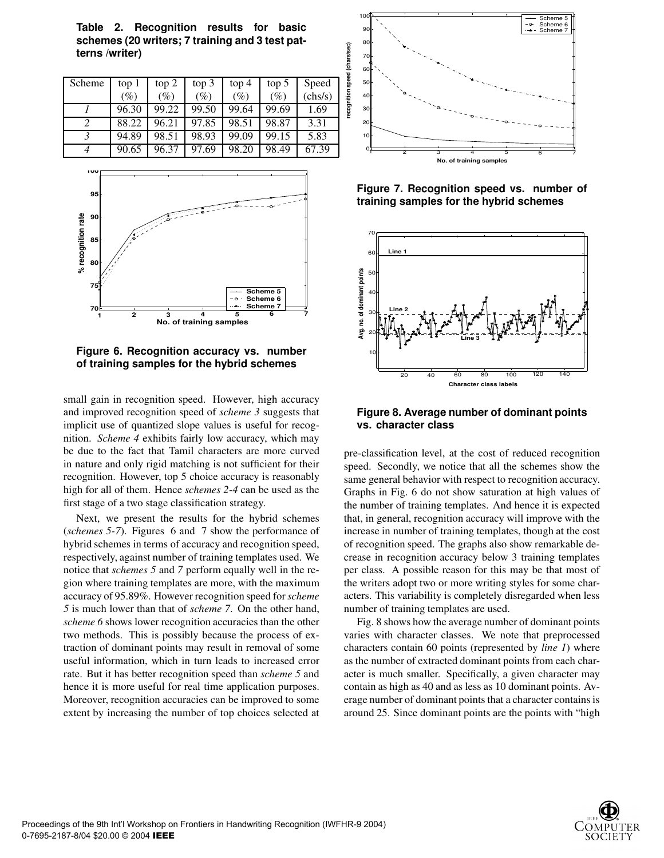**Table 2. Recognition results for basic schemes (20 writers; 7 training and 3 test patterns /writer)**

| Scheme | top 1  | top 2  | $top\$ | top 4  | top 5  | Speed   |
|--------|--------|--------|--------|--------|--------|---------|
|        | $(\%)$ | $(\%)$ | $(\%)$ | $(\%)$ | $(\%)$ | (chs/s) |
|        | 96.30  | 99.22  | 99.50  | 99.64  | 99.69  | 1.69    |
| 2      | 88.22  | 96.21  | 97.85  | 98.51  | 98.87  | 3.31    |
| 3      | 94.89  | 98.51  | 98.93  | 99.09  | 99.15  | 5.83    |
|        | 90.65  | 96.37  | 97.69  | 98.20  | 98.49  | 67.39   |



**Figure 6. Recognition accuracy vs. number of training samples for the hybrid schemes**

small gain in recognition speed. However, high accuracy and improved recognition speed of *scheme 3* suggests that implicit use of quantized slope values is useful for recognition. *Scheme 4* exhibits fairly low accuracy, which may be due to the fact that Tamil characters are more curved in nature and only rigid matching is not sufficient for their recognition. However, top 5 choice accuracy is reasonably high for all of them. Hence *schemes 2-4* can be used as the first stage of a two stage classification strategy.

Next, we present the results for the hybrid schemes (*schemes 5-7*). Figures 6 and 7 show the performance of hybrid schemes in terms of accuracy and recognition speed, respectively, against number of training templates used. We notice that *schemes 5* and *7* perform equally well in the region where training templates are more, with the maximum accuracy of 95.89%. However recognition speed for*scheme 5* is much lower than that of *scheme 7*. On the other hand, *scheme 6* shows lower recognition accuracies than the other two methods. This is possibly because the process of extraction of dominant points may result in removal of some useful information, which in turn leads to increased error rate. But it has better recognition speed than *scheme 5* and hence it is more useful for real time application purposes. Moreover, recognition accuracies can be improved to some extent by increasing the number of top choices selected at



**Figure 7. Recognition speed vs. number of training samples for the hybrid schemes**



**Figure 8. Average number of dominant points vs. character class**

pre-classification level, at the cost of reduced recognition speed. Secondly, we notice that all the schemes show the same general behavior with respect to recognition accuracy. Graphs in Fig. 6 do not show saturation at high values of the number of training templates. And hence it is expected that, in general, recognition accuracy will improve with the increase in number of training templates, though at the cost of recognition speed. The graphs also show remarkable decrease in recognition accuracy below 3 training templates per class. A possible reason for this may be that most of the writers adopt two or more writing styles for some characters. This variability is completely disregarded when less number of training templates are used.

Fig. 8 shows how the average number of dominant points varies with character classes. We note that preprocessed characters contain 60 points (represented by *line 1*) where as the number of extracted dominant points from each character is much smaller. Specifically, a given character may contain as high as 40 and as less as 10 dominant points. Average number of dominant points that a character contains is around 25. Since dominant points are the points with "high